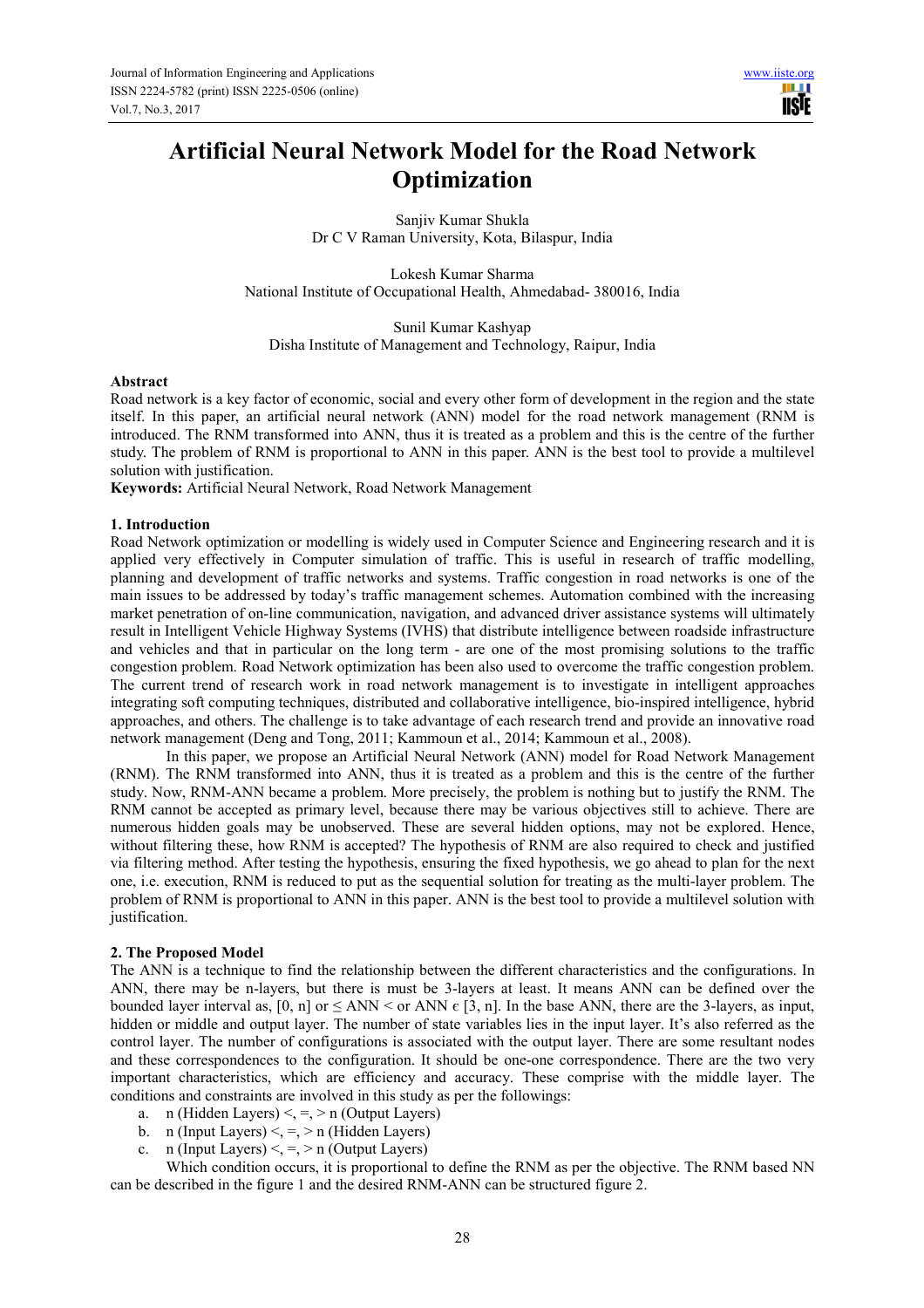# **Artificial Neural Network Model for the Road Network Optimization**

Sanjiv Kumar Shukla Dr C V Raman University, Kota, Bilaspur, India

Lokesh Kumar Sharma National Institute of Occupational Health, Ahmedabad- 380016, India

Sunil Kumar Kashyap Disha Institute of Management and Technology, Raipur, India

### **Abstract**

Road network is a key factor of economic, social and every other form of development in the region and the state itself. In this paper, an artificial neural network (ANN) model for the road network management (RNM is introduced. The RNM transformed into ANN, thus it is treated as a problem and this is the centre of the further study. The problem of RNM is proportional to ANN in this paper. ANN is the best tool to provide a multilevel solution with justification.

**Keywords:** Artificial Neural Network, Road Network Management

### **1. Introduction**

Road Network optimization or modelling is widely used in Computer Science and Engineering research and it is applied very effectively in Computer simulation of traffic. This is useful in research of traffic modelling, planning and development of traffic networks and systems. Traffic congestion in road networks is one of the main issues to be addressed by today's traffic management schemes. Automation combined with the increasing market penetration of on-line communication, navigation, and advanced driver assistance systems will ultimately result in Intelligent Vehicle Highway Systems (IVHS) that distribute intelligence between roadside infrastructure and vehicles and that in particular on the long term - are one of the most promising solutions to the traffic congestion problem. Road Network optimization has been also used to overcome the traffic congestion problem. The current trend of research work in road network management is to investigate in intelligent approaches integrating soft computing techniques, distributed and collaborative intelligence, bio-inspired intelligence, hybrid approaches, and others. The challenge is to take advantage of each research trend and provide an innovative road network management (Deng and Tong, 2011; Kammoun et al., 2014; Kammoun et al., 2008).

In this paper, we propose an Artificial Neural Network (ANN) model for Road Network Management (RNM). The RNM transformed into ANN, thus it is treated as a problem and this is the centre of the further study. Now, RNM-ANN became a problem. More precisely, the problem is nothing but to justify the RNM. The RNM cannot be accepted as primary level, because there may be various objectives still to achieve. There are numerous hidden goals may be unobserved. These are several hidden options, may not be explored. Hence, without filtering these, how RNM is accepted? The hypothesis of RNM are also required to check and justified via filtering method. After testing the hypothesis, ensuring the fixed hypothesis, we go ahead to plan for the next one, i.e. execution, RNM is reduced to put as the sequential solution for treating as the multi-layer problem. The problem of RNM is proportional to ANN in this paper. ANN is the best tool to provide a multilevel solution with justification.

# **2. The Proposed Model**

The ANN is a technique to find the relationship between the different characteristics and the configurations. In ANN, there may be n-layers, but there is must be 3-layers at least. It means ANN can be defined over the bounded layer interval as,  $[0, n]$  or  $\leq$  ANN  $\leq$  or ANN  $\in$  [3, n]. In the base ANN, there are the 3-layers, as input, hidden or middle and output layer. The number of state variables lies in the input layer. It's also referred as the control layer. The number of configurations is associated with the output layer. There are some resultant nodes and these correspondences to the configuration. It should be one-one correspondence. There are the two very important characteristics, which are efficiency and accuracy. These comprise with the middle layer. The conditions and constraints are involved in this study as per the followings:

- a. n (Hidden Layers)  $\leq$ ,  $\leq$ ,  $>$  n (Output Layers)
- b. n (Input Layers)  $\leq$ ,  $\leq$ ,  $>$  n (Hidden Layers)
- c. n (Input Layers)  $\leq, \leq, \geq n$  (Output Layers)

Which condition occurs, it is proportional to define the RNM as per the objective. The RNM based NN can be described in the figure 1 and the desired RNM-ANN can be structured figure 2.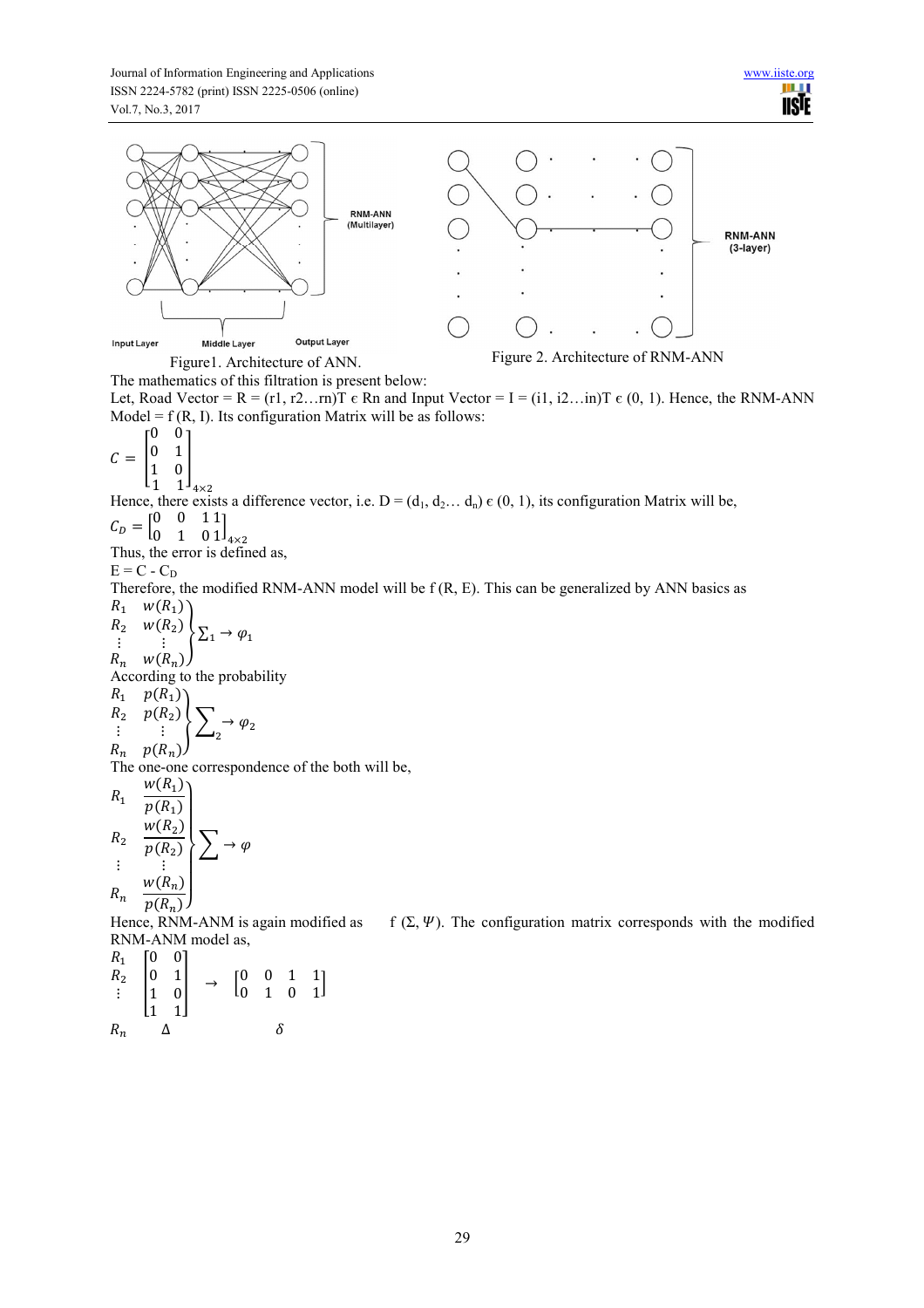

The mathematics of this filtration is present below:

Let, Road Vector = R = (r1, r2...rn)T  $\epsilon$  Rn and Input Vector = I = (i1, i2...in)T  $\epsilon$  (0, 1). Hence, the RNM-ANN Model =  $f(R, I)$ . Its configuration Matrix will be as follows:

 $C =$  $\begin{bmatrix} 0 & 0 \\ 0 & 1 \\ 1 & 0 \end{bmatrix}$ 0 1 1 0 I

 $1 \frac{1 \cdot 4 \times 2}{4 \times 2}$ Hence, there exists a difference vector, i.e.  $D = (d_1, d_2, \ldots, d_n) \in (0, 1)$ , its configuration Matrix will be,  $C_D = \begin{bmatrix} 0 & 0 & 1 \\ 0 & 1 & 0 \end{bmatrix}$ 1

 $\left[\frac{1}{4\times2}\right]$ 

Thus, the error is defined as,

 $E = C - C_D$ 

Therefore, the modified RNM-ANN model will be f (R, E). This can be generalized by ANN basics as  $R_1$   $W(R_1)$ 

$$
\begin{array}{ccc} R_2 & w(R_2) \\ \vdots & \vdots \\ R_n & w(R_n) \end{array} \sum_{1 \to \varphi_1}
$$

According to the probability

$$
\begin{array}{ccc} R_1 & p(R_1) \\ R_2 & p(R_2) \\ \vdots & \vdots \\ R_n & p(R_n) \end{array} \sum_{2} \rightarrow \varphi_2
$$

 $R_n$   $p(R_n)$ 

The one-one correspondence of the both will be,

$$
R_1 \frac{w(R_1)}{p(R_1)}
$$
  
\n
$$
R_2 \frac{w(R_2)}{p(R_2)}
$$
  
\n
$$
\vdots \frac{w(R_n)}{p(R_n)}
$$
  
\n
$$
R_n \frac{w(R_n)}{p(R_n)}
$$

Hence, RNM-ANM is again modified as f  $(\Sigma, \Psi)$ . The configuration matrix corresponds with the modified RNM-ANM model as,

 $R_1$  $R_2$  $\vdots$  $\begin{array}{c} 0 \\ 1 \end{array}$ 0 0 0 1  $\begin{vmatrix} 1 & 0 \\ 1 & 1 \end{vmatrix}$  $\begin{bmatrix} 0 & 1 \\ 1 & 0 \\ 1 & 1 \end{bmatrix}$   $\rightarrow$   $\begin{bmatrix} 0 & 0 & 1 & 1 \\ 0 & 1 & 0 & 1 \end{bmatrix}$  $R_n$   $\Delta$   $\delta$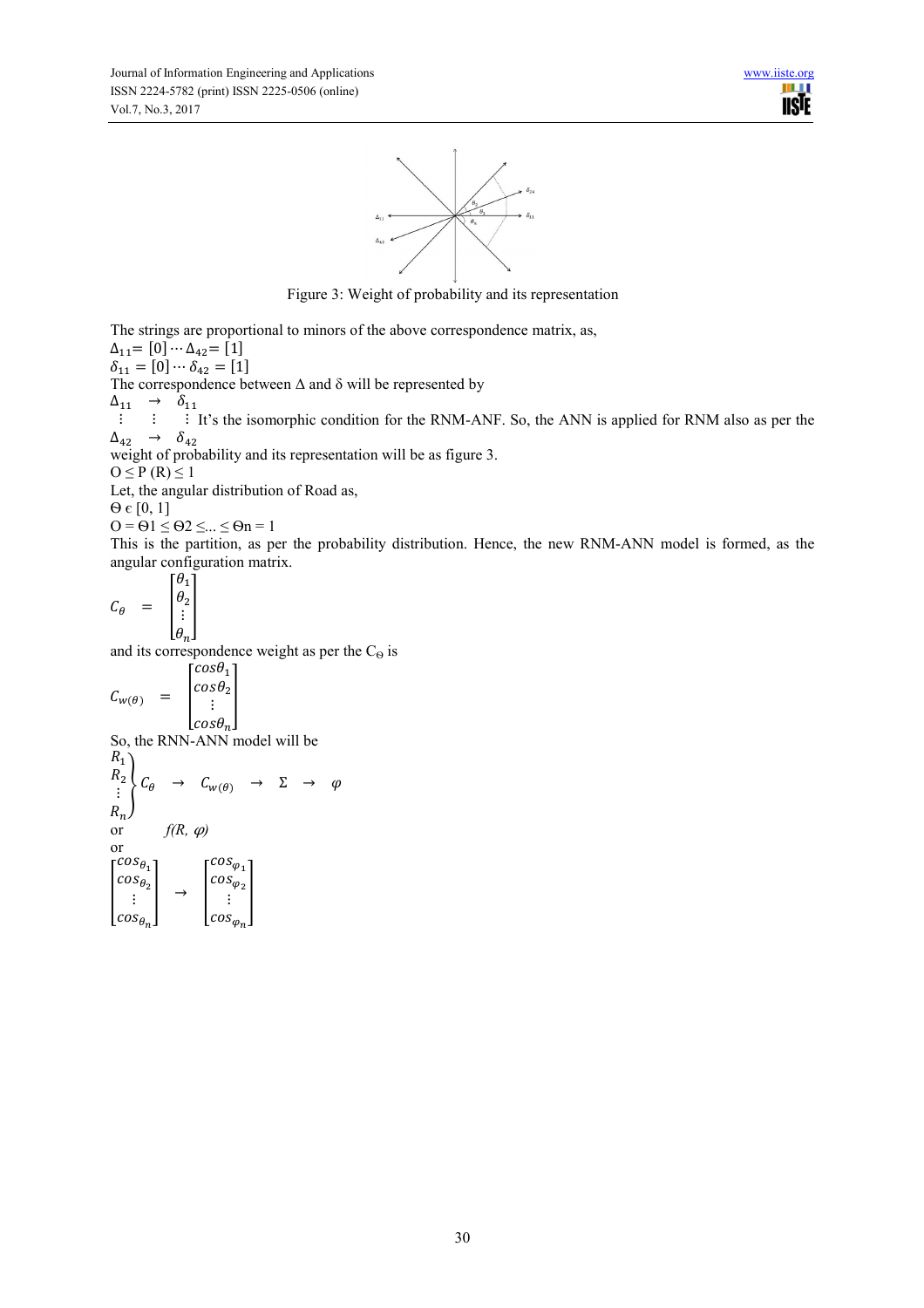

Figure 3: Weight of probability and its representation

The strings are proportional to minors of the above correspondence matrix, as,  $\Delta_{11} = [0] \cdots \Delta_{42} = [1]$  $\delta_{11} = [0] \cdots \delta_{42} = [1]$ 

The correspondence between  $\Delta$  and  $\delta$  will be represented by

 $\Delta_{11} \rightarrow \delta_{11}$ 

 $\ddot{\mathbf{i}}$   $\ddot{\mathbf{j}}$   $\ddot{\mathbf{j}}$   $\ddot{\mathbf{k}}$  $\Delta_{42} \rightarrow \delta_{42}$ It's the isomorphic condition for the RNM-ANF. So, the ANN is applied for RNM also as per the

weight of probability and its representation will be as figure 3.

 $O \leq P(R) \leq 1$ 

Let, the angular distribution of Road as,

 $\Theta \in [0, 1]$ 

 $Q = \Theta1 \leq \Theta2 \leq ... \leq \Theta n = 1$ 

This is the partition, as per the probability distribution. Hence, the new RNM-ANN model is formed, as the angular configuration matrix.

$$
C_{\theta} = \begin{bmatrix} \theta_1 \\ \theta_2 \\ \vdots \\ \theta_n \end{bmatrix}
$$

and its correspondence weight as per the  $C_{\Theta}$  is

$$
C_{w(\theta)} = \begin{bmatrix} \cos \theta_1 \\ \cos \theta_2 \\ \vdots \\ \cos \theta_n \end{bmatrix}
$$

So, the RNN-ANN model will be  $R_1$ 

$$
R_2\n\begin{bmatrix}\nC_\theta & \to & C_{w(\theta)} & \to & \Sigma & \to & \varphi \\
\vdots & & & & \\
R_n\n\end{bmatrix}
$$
\n
$$
or \quad f(R, \varphi)
$$
\n
$$
\begin{bmatrix}\n\cos \theta_1 \\
\cos \theta_2 \\
\vdots \\
\cos \theta_n\n\end{bmatrix} \rightarrow \begin{bmatrix}\n\cos \varphi_1 \\
\cos \varphi_2 \\
\vdots \\
\cos \varphi_n\n\end{bmatrix}
$$